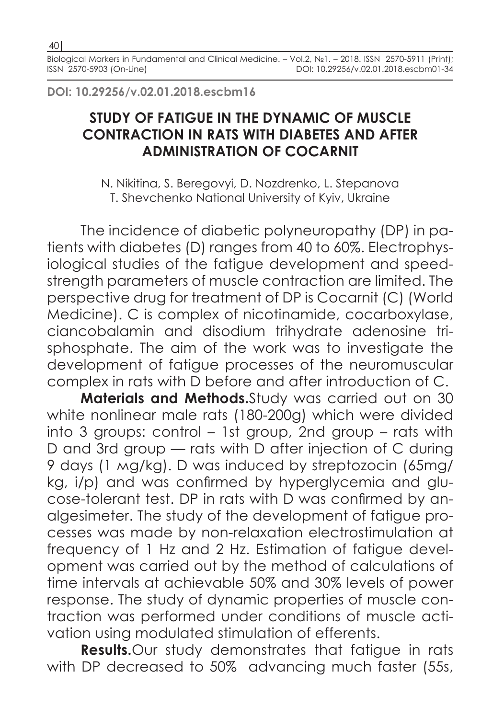**DOI: 10.29256/v.02.01.2018.escbm16**

## **STUDY OF FATIGUE IN THE DYNAMIC OF MUSCLE CONTRACTION IN RATS WITH DIABETES AND AFTER ADMINISTRATION OF COCARNIT**

N. Nikitina, S. Beregovyi, D. Nozdrenko, L. Stepanova T. Shevchenko National University of Kyiv, Ukraine

The incidence of diabetic polyneuropathy (DP) in patients with diabetes (D) ranges from 40 to 60%. Electrophysiological studies of the fatigue development and speedstrength parameters of muscle contraction are limited. The perspective drug for treatment of DP is Cocarnit (C) (World Medicine). C is complex of nicotinamide, cocarboxylase, ciancobalamin and disodium trihydrate adenosine trisphosphate. The aim of the work was to investigate the development of fatigue processes of the neuromuscular complex in rats with D before and after introduction of C.

**Materials and Methods.**Study was carried out on 30 white nonlinear male rats (180-200g) which were divided into 3 groups: control – 1st group, 2nd group – rats with D and 3rd group — rats with D after injection of C during 9 days (1 мg/kg). D was induced by streptozocin (65mg/ kg, i/p) and was confirmed by hyperglycemia and glucose-tolerant test. DP in rats with D was confirmed by analgesimeter. The study of the development of fatigue processes was made by non-relaxation electrostimulation at frequency of 1 Hz and 2 Hz. Estimation of fatigue development was carried out by the method of calculations of time intervals at achievable 50% and 30% levels of power response. The study of dynamic properties of muscle contraction was performed under conditions of muscle activation using modulated stimulation of efferents.

**Results.**Our study demonstrates that fatigue in rats with DP decreased to 50% advancing much faster (55s,